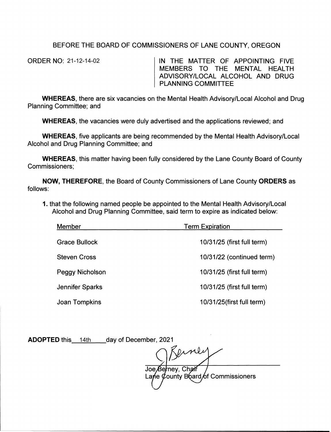## BEFORE THE BOARD OF COMMISSIONERS OF LANE COUNTY, OREGON

ORDER NO: 21-12-14-02

IN THE MATTER OF APPOINTING FIVE MEMBERS TO THE MENTAL HEALTH ADVISORY/LOCAL ALCOHOL AND DRUG PLANNING COMMITTEE

**WHEREAS,** there are six vacancies on the Mental Health Advisory/Local Alcohol and Drug Planning Committee; and

**WHEREAS,** the vacancies were duly advertised and the applications reviewed; and

**WHEREAS,** five applicants are being recommended by the Mental Health Advisory/Local Alcohol and Drug Planning Committee; and

**WHEREAS,** this matter having been fully considered by the Lane County Board of County Commissioners;

**NOW, THEREFORE,** the Board of County Commissioners of Lane County **ORDERS** as follows:

1. that the following named people be appointed to the Mental Health Advisory/Local Alcohol and Drug Planning Committee, said term to expire as indicated below:

| Member               | <b>Term Expiration</b><br>10/31/25 (first full term) |  |
|----------------------|------------------------------------------------------|--|
| <b>Grace Bullock</b> |                                                      |  |
| <b>Steven Cross</b>  | 10/31/22 (continued term)                            |  |
| Peggy Nicholson      | 10/31/25 (first full term)                           |  |
| Jennifer Sparks      | 10/31/25 (first full term)                           |  |
| Joan Tompkins        | 10/31/25(first full term)                            |  |

ADOPTED this 14th day of December, 2021

Joe Berney, Chair Lane  $\ell$  ounty B bard of Commissioners